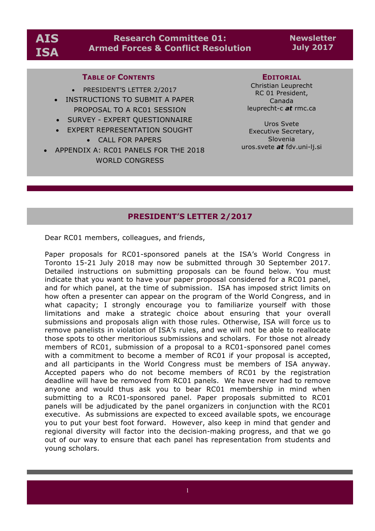## **Research Committee 01: Armed Forces & Conflict Resolution**

**Newsletter July 2017**

## **TABLE OF CONTENTS**

- PRESIDENT'S LETTER 2/2017
- INSTRUCTIONS TO SUBMIT A PAPER PROPOSAL TO A RC01 SESSION
- SURVEY EXPERT QUESTIONNAIRE
- EXPERT REPRESENTATION SOUGHT
	- CALL FOR PAPERS
- APPENDIX A: RC01 PANELS FOR THE 2018 WORLD CONGRESS

#### **EDITORIAL**

Christian Leuprecht RC 01 President, Canada leuprecht-c *at* rmc.ca

Uros Svete Executive Secretary, Slovenia uros.svete *at* fdv.uni-lj.si

## **PRESIDENT'S LETTER 2/2017**

Dear RC01 members, colleagues, and friends,

Paper proposals for RC01-sponsored panels at the ISA's World Congress in Toronto 15-21 July 2018 may now be submitted through 30 September 2017. Detailed instructions on submitting proposals can be found below. You must indicate that you want to have your paper proposal considered for a RC01 panel, and for which panel, at the time of submission. ISA has imposed strict limits on how often a presenter can appear on the program of the World Congress, and in what capacity; I strongly encourage you to familiarize yourself with those limitations and make a strategic choice about ensuring that your overall submissions and proposals align with those rules. Otherwise, ISA will force us to remove panelists in violation of ISA's rules, and we will not be able to reallocate those spots to other meritorious submissions and scholars. For those not already members of RC01, submission of a proposal to a RC01-sponsored panel comes with a commitment to become a member of RC01 if your proposal is accepted, and all participants in the World Congress must be members of ISA anyway. Accepted papers who do not become members of RC01 by the registration deadline will have be removed from RC01 panels. We have never had to remove anyone and would thus ask you to bear RC01 membership in mind when submitting to a RC01-sponsored panel. Paper proposals submitted to RC01 panels will be adjudicated by the panel organizers in conjunction with the RC01 executive. As submissions are expected to exceed available spots, we encourage you to put your best foot forward. However, also keep in mind that gender and regional diversity will factor into the decision-making progress, and that we go out of our way to ensure that each panel has representation from students and young scholars.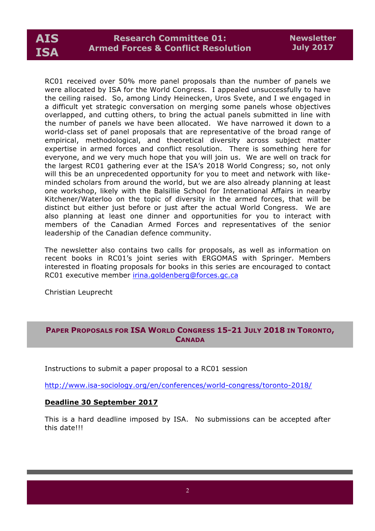# **AIS ISA**

RC01 received over 50% more panel proposals than the number of panels we were allocated by ISA for the World Congress. I appealed unsuccessfully to have the ceiling raised. So, among Lindy Heinecken, Uros Svete, and I we engaged in a difficult yet strategic conversation on merging some panels whose objectives overlapped, and cutting others, to bring the actual panels submitted in line with the number of panels we have been allocated. We have narrowed it down to a world-class set of panel proposals that are representative of the broad range of empirical, methodological, and theoretical diversity across subject matter expertise in armed forces and conflict resolution. There is something here for everyone, and we very much hope that you will join us. We are well on track for the largest RC01 gathering ever at the ISA's 2018 World Congress; so, not only will this be an unprecedented opportunity for you to meet and network with likeminded scholars from around the world, but we are also already planning at least one workshop, likely with the Balsillie School for International Affairs in nearby Kitchener/Waterloo on the topic of diversity in the armed forces, that will be distinct but either just before or just after the actual World Congress. We are also planning at least one dinner and opportunities for you to interact with members of the Canadian Armed Forces and representatives of the senior leadership of the Canadian defence community.

The newsletter also contains two calls for proposals, as well as information on recent books in RC01's joint series with ERGOMAS with Springer. Members interested in floating proposals for books in this series are encouraged to contact RC01 executive member irina.goldenberg@forces.gc.ca

Christian Leuprecht

## **PAPER PROPOSALS FOR ISA WORLD CONGRESS 15-21 JULY 2018 IN TORONTO, CANADA**

Instructions to submit a paper proposal to a RC01 session

http://www.isa-sociology.org/en/conferences/world-congress/toronto-2018/

## **Deadline 30 September 2017**

This is a hard deadline imposed by ISA. No submissions can be accepted after this date!!!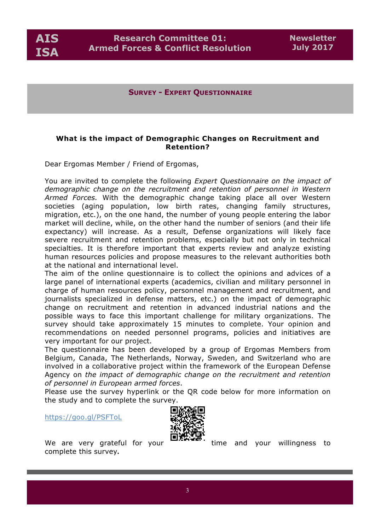**AIS ISA**

**SURVEY - EXPERT QUESTIONNAIRE**

## **What is the impact of Demographic Changes on Recruitment and Retention?**

Dear Ergomas Member / Friend of Ergomas,

You are invited to complete the following *Expert Questionnaire on the impact of demographic change on the recruitment and retention of personnel in Western Armed Forces.* With the demographic change taking place all over Western societies (aging population, low birth rates, changing family structures, migration, etc.), on the one hand, the number of young people entering the labor market will decline, while, on the other hand the number of seniors (and their life expectancy) will increase. As a result, Defense organizations will likely face severe recruitment and retention problems, especially but not only in technical specialties. It is therefore important that experts review and analyze existing human resources policies and propose measures to the relevant authorities both at the national and international level.

The aim of the online questionnaire is to collect the opinions and advices of a large panel of international experts (academics, civilian and military personnel in charge of human resources policy, personnel management and recruitment, and journalists specialized in defense matters, etc.) on the impact of demographic change on recruitment and retention in advanced industrial nations and the possible ways to face this important challenge for military organizations. The survey should take approximately 15 minutes to complete. Your opinion and recommendations on needed personnel programs, policies and initiatives are very important for our project.

The questionnaire has been developed by a group of Ergomas Members from Belgium, Canada, The Netherlands, Norway, Sweden, and Switzerland who are involved in a collaborative project within the framework of the European Defense Agency on *the impact of demographic change on the recruitment and retention of personnel in European armed forces*.

Please use the survey hyperlink or the QR code below for more information on the study and to complete the survey.

https://goo.gl/PSFToL



complete this survey**.**

We are very grateful for your  $\overline{\phantom{a}}$  and your willingness to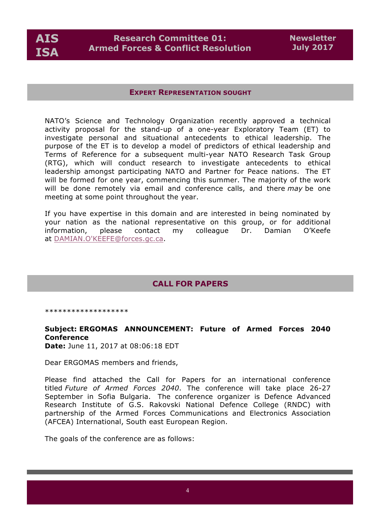

#### **EXPERT REPRESENTATION SOUGHT**

NATO's Science and Technology Organization recently approved a technical activity proposal for the stand-up of a one-year Exploratory Team (ET) to investigate personal and situational antecedents to ethical leadership. The purpose of the ET is to develop a model of predictors of ethical leadership and Terms of Reference for a subsequent multi-year NATO Research Task Group (RTG), which will conduct research to investigate antecedents to ethical leadership amongst participating NATO and Partner for Peace nations. The ET will be formed for one year, commencing this summer. The majority of the work will be done remotely via email and conference calls, and there *may* be one meeting at some point throughout the year.

If you have expertise in this domain and are interested in being nominated by your nation as the national representative on this group, or for additional information, please contact my colleague Dr. Damian O'Keefe at DAMIAN.O'KEEFE@forces.gc.ca.

## **CALL FOR PAPERS**

\*\*\*\*\*\*\*\*\*\*\*\*\*\*\*\*\*

## **Subject: ERGOMAS ANNOUNCEMENT: Future of Armed Forces 2040 Conference**

**Date:** June 11, 2017 at 08:06:18 EDT

Dear ERGOMAS members and friends,

Please find attached the Call for Papers for an international conference titled *Future of Armed Forces 2040*. The conference will take place 26-27 September in Sofia Bulgaria. The conference organizer is Defence Advanced Research Institute of G.S. Rakovski National Defence College (RNDC) with partnership of the Armed Forces Communications and Electronics Association (AFCEA) International, South east European Region.

The goals of the conference are as follows: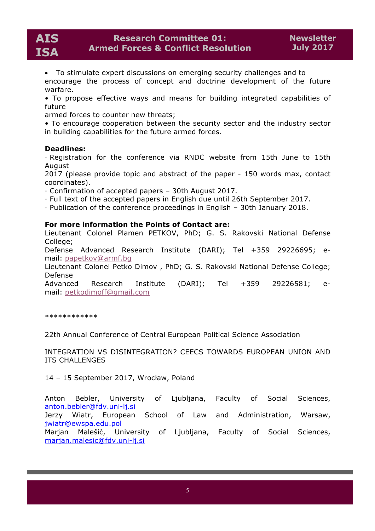• To stimulate expert discussions on emerging security challenges and to encourage the process of concept and doctrine development of the future warfare.

• To propose effective ways and means for building integrated capabilities of future

armed forces to counter new threats;

• To encourage cooperation between the security sector and the industry sector in building capabilities for the future armed forces.

## **Deadlines:**

· Registration for the conference via RNDC website from 15th June to 15th August

2017 (please provide topic and abstract of the paper - 150 words max, contact coordinates).

· Confirmation of accepted papers – 30th August 2017.

- · Full text of the accepted papers in English due until 26th September 2017.
- · Publication of the conference proceedings in English 30th January 2018.

#### **For more information the Points of Contact are:**

Lieutenant Colonel Plamen PETKOV, PhD; G. S. Rakovski National Defense College;

Defense Advanced Research Institute (DARI); Tel +359 29226695; email: papetkov@armf.bg

Lieutenant Colonel Petko Dimov , PhD; G. S. Rakovski National Defense College; Defense

Advanced Research Institute (DARI); Tel +359 29226581; email: petkodimoff@gmail.com

\*\*\*\*\*\*\*\*\*\*\*\*

22th Annual Conference of Central European Political Science Association

INTEGRATION VS DISINTEGRATION? CEECS TOWARDS EUROPEAN UNION AND ITS CHALLENGES

14 – 15 September 2017, Wrocław, Poland

Anton Bebler, University of Ljubljana, Faculty of Social Sciences, anton.bebler@fdv.uni-lj.si Jerzy Wiatr, European School of Law and Administration, Warsaw,

jwiatr@ewspa.edu.pol Marjan Malešič, University of Ljubljana, Faculty of Social Sciences, marjan.malesic@fdv.uni-lj.si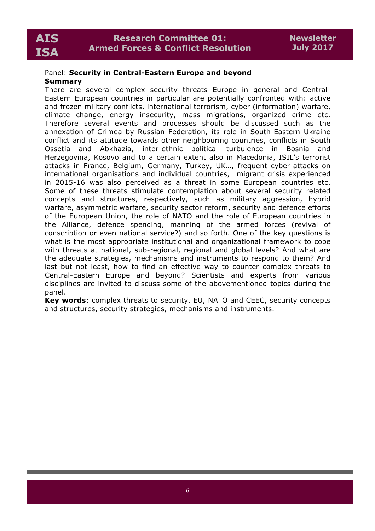## Panel: **Security in Central-Eastern Europe and beyond Summary**

There are several complex security threats Europe in general and Central-Eastern European countries in particular are potentially confronted with: active and frozen military conflicts, international terrorism, cyber (information) warfare, climate change, energy insecurity, mass migrations, organized crime etc. Therefore several events and processes should be discussed such as the annexation of Crimea by Russian Federation, its role in South-Eastern Ukraine conflict and its attitude towards other neighbouring countries, conflicts in South Ossetia and Abkhazia, inter-ethnic political turbulence in Bosnia and Herzegovina, Kosovo and to a certain extent also in Macedonia, ISIL's terrorist attacks in France, Belgium, Germany, Turkey, UK…, frequent cyber-attacks on international organisations and individual countries, migrant crisis experienced in 2015-16 was also perceived as a threat in some European countries etc. Some of these threats stimulate contemplation about several security related concepts and structures, respectively, such as military aggression, hybrid warfare, asymmetric warfare, security sector reform, security and defence efforts of the European Union, the role of NATO and the role of European countries in the Alliance, defence spending, manning of the armed forces (revival of conscription or even national service?) and so forth. One of the key questions is what is the most appropriate institutional and organizational framework to cope with threats at national, sub-regional, regional and global levels? And what are the adequate strategies, mechanisms and instruments to respond to them? And last but not least, how to find an effective way to counter complex threats to Central-Eastern Europe and beyond? Scientists and experts from various disciplines are invited to discuss some of the abovementioned topics during the panel.

**Key words**: complex threats to security, EU, NATO and CEEC, security concepts and structures, security strategies, mechanisms and instruments.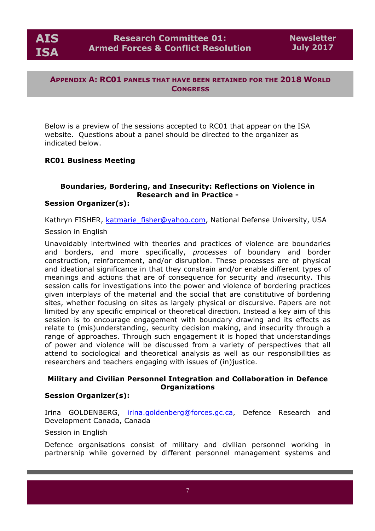**AIS ISA**

## **APPENDIX A: RC01 PANELS THAT HAVE BEEN RETAINED FOR THE 2018 WORLD CONGRESS**

Below is a preview of the sessions accepted to RC01 that appear on the ISA website. Questions about a panel should be directed to the organizer as indicated below.

## **RC01 Business Meeting**

## **Boundaries, Bordering, and Insecurity: Reflections on Violence in Research and in Practice -**

## **Session Organizer(s):**

Kathryn FISHER, katmarie\_fisher@yahoo.com, National Defense University, USA

## Session in English

Unavoidably intertwined with theories and practices of violence are boundaries and borders, and more specifically, *processes* of boundary and border construction, reinforcement, and/or disruption. These processes are of physical and ideational significance in that they constrain and/or enable different types of meanings and actions that are of consequence for security and *in*security. This session calls for investigations into the power and violence of bordering practices given interplays of the material and the social that are constitutive of bordering sites, whether focusing on sites as largely physical or discursive. Papers are not limited by any specific empirical or theoretical direction. Instead a key aim of this session is to encourage engagement with boundary drawing and its effects as relate to (mis)understanding, security decision making, and insecurity through a range of approaches. Through such engagement it is hoped that understandings of power and violence will be discussed from a variety of perspectives that all attend to sociological and theoretical analysis as well as our responsibilities as researchers and teachers engaging with issues of (in)justice.

## **Military and Civilian Personnel Integration and Collaboration in Defence Organizations**

## **Session Organizer(s):**

Irina GOLDENBERG, irina.goldenberg@forces.gc.ca, Defence Research and Development Canada, Canada

## Session in English

Defence organisations consist of military and civilian personnel working in partnership while governed by different personnel management systems and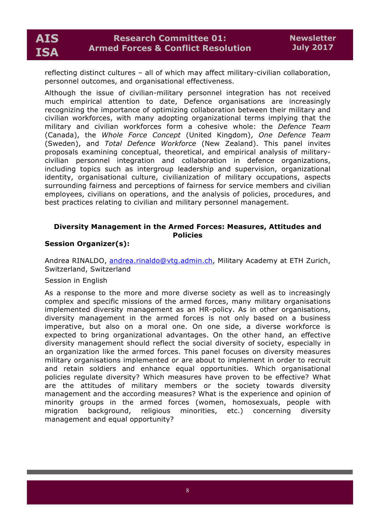reflecting distinct cultures – all of which may affect military-civilian collaboration, personnel outcomes, and organisational effectiveness.

Although the issue of civilian-military personnel integration has not received much empirical attention to date, Defence organisations are increasingly recognizing the importance of optimizing collaboration between their military and civilian workforces, with many adopting organizational terms implying that the military and civilian workforces form a cohesive whole: the *Defence Team* (Canada), the *Whole Force Concept* (United Kingdom), *One Defence Team* (Sweden), and *Total Defence Workforce* (New Zealand). This panel invites proposals examining conceptual, theoretical, and empirical analysis of militarycivilian personnel integration and collaboration in defence organizations, including topics such as intergroup leadership and supervision, organizational identity, organisational culture, civilianization of military occupations, aspects surrounding fairness and perceptions of fairness for service members and civilian employees, civilians on operations, and the analysis of policies, procedures, and best practices relating to civilian and military personnel management.

## **Diversity Management in the Armed Forces: Measures, Attitudes and Policies**

## **Session Organizer(s):**

Andrea RINALDO, andrea.rinaldo@vtg.admin.ch, Military Academy at ETH Zurich, Switzerland, Switzerland

## Session in English

As a response to the more and more diverse society as well as to increasingly complex and specific missions of the armed forces, many military organisations implemented diversity management as an HR-policy. As in other organisations, diversity management in the armed forces is not only based on a business imperative, but also on a moral one. On one side, a diverse workforce is expected to bring organizational advantages. On the other hand, an effective diversity management should reflect the social diversity of society, especially in an organization like the armed forces. This panel focuses on diversity measures military organisations implemented or are about to implement in order to recruit and retain soldiers and enhance equal opportunities. Which organisational policies regulate diversity? Which measures have proven to be effective? What are the attitudes of military members or the society towards diversity management and the according measures? What is the experience and opinion of minority groups in the armed forces (women, homosexuals, people with migration background, religious minorities, etc.) concerning diversity management and equal opportunity?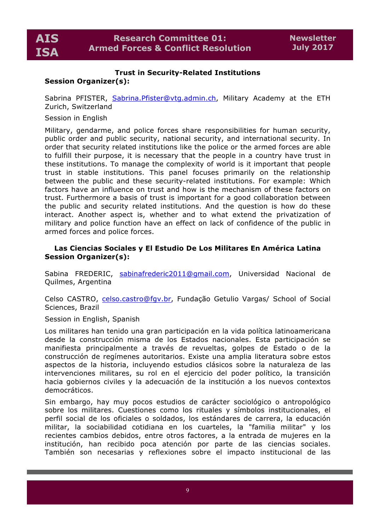## **Trust in Security-Related Institutions**

## **Session Organizer(s):**

Sabrina PFISTER, Sabrina.Pfister@vtg.admin.ch, Military Academy at the ETH Zurich, Switzerland

## Session in English

Military, gendarme, and police forces share responsibilities for human security, public order and public security, national security, and international security. In order that security related institutions like the police or the armed forces are able to fulfill their purpose, it is necessary that the people in a country have trust in these institutions. To manage the complexity of world is it important that people trust in stable institutions. This panel focuses primarily on the relationship between the public and these security-related institutions. For example: Which factors have an influence on trust and how is the mechanism of these factors on trust. Furthermore a basis of trust is important for a good collaboration between the public and security related institutions. And the question is how do these interact. Another aspect is, whether and to what extend the privatization of military and police function have an effect on lack of confidence of the public in armed forces and police forces.

## **Las Ciencias Sociales y El Estudio De Los Militares En América Latina Session Organizer(s):**

Sabina FREDERIC, sabinafrederic2011@gmail.com, Universidad Nacional de Quilmes, Argentina

Celso CASTRO, celso.castro@fgv.br, Fundação Getulio Vargas/ School of Social Sciences, Brazil

Session in English, Spanish

Los militares han tenido una gran participación en la vida política latinoamericana desde la construcción misma de los Estados nacionales. Esta participación se manifiesta principalmente a través de revueltas, golpes de Estado o de la construcción de regímenes autoritarios. Existe una amplia literatura sobre estos aspectos de la historia, incluyendo estudios clásicos sobre la naturaleza de las intervenciones militares, su rol en el ejercicio del poder político, la transición hacia gobiernos civiles y la adecuación de la institución a los nuevos contextos democráticos.

Sin embargo, hay muy pocos estudios de carácter sociológico o antropológico sobre los militares. Cuestiones como los rituales y símbolos institucionales, el perfil social de los oficiales o soldados, los estándares de carrera, la educación militar, la sociabilidad cotidiana en los cuarteles, la "familia militar" y los recientes cambios debidos, entre otros factores, a la entrada de mujeres en la institución, han recibido poca atención por parte de las ciencias sociales. También son necesarias y reflexiones sobre el impacto institucional de las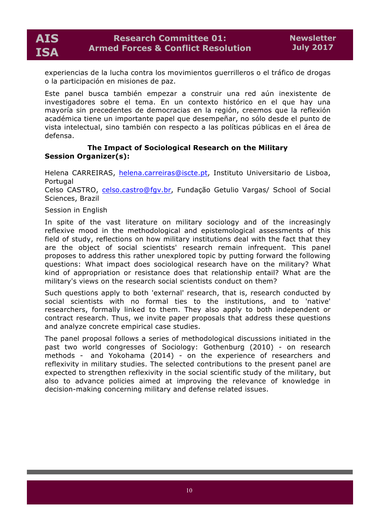experiencias de la lucha contra los movimientos guerrilleros o el tráfico de drogas o la participación en misiones de paz.

Este panel busca también empezar a construir una red aún inexistente de investigadores sobre el tema. En un contexto histórico en el que hay una mayoría sin precedentes de democracias en la región, creemos que la reflexión académica tiene un importante papel que desempeñar, no sólo desde el punto de vista intelectual, sino también con respecto a las políticas públicas en el área de defensa.

## **The Impact of Sociological Research on the Military Session Organizer(s):**

Helena CARREIRAS, helena.carreiras@iscte.pt, Instituto Universitario de Lisboa, Portugal

Celso CASTRO, celso.castro@fgv.br, Fundação Getulio Vargas/ School of Social Sciences, Brazil

## Session in English

In spite of the vast literature on military sociology and of the increasingly reflexive mood in the methodological and epistemological assessments of this field of study, reflections on how military institutions deal with the fact that they are the object of social scientists' research remain infrequent. This panel proposes to address this rather unexplored topic by putting forward the following questions: What impact does sociological research have on the military? What kind of appropriation or resistance does that relationship entail? What are the military's views on the research social scientists conduct on them?

Such questions apply to both 'external' research, that is, research conducted by social scientists with no formal ties to the institutions, and to 'native' researchers, formally linked to them. They also apply to both independent or contract research. Thus, we invite paper proposals that address these questions and analyze concrete empirical case studies.

The panel proposal follows a series of methodological discussions initiated in the past two world congresses of Sociology: Gothenburg (2010) - on research methods - and Yokohama (2014) - on the experience of researchers and reflexivity in military studies. The selected contributions to the present panel are expected to strengthen reflexivity in the social scientific study of the military, but also to advance policies aimed at improving the relevance of knowledge in decision-making concerning military and defense related issues.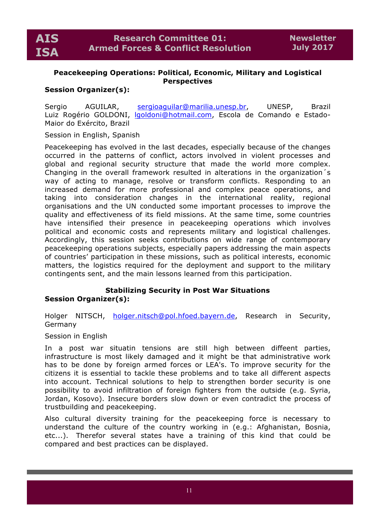## **Peacekeeping Operations: Political, Economic, Military and Logistical Perspectives**

## **Session Organizer(s):**

Sergio AGUILAR, sergioaguilar@marilia.unesp.br, UNESP, Brazil Luiz Rogério GOLDONI, lgoldoni@hotmail.com, Escola de Comando e Estado-Maior do Exército, Brazil

Session in English, Spanish

Peacekeeping has evolved in the last decades, especially because of the changes occurred in the patterns of conflict, actors involved in violent processes and global and regional security structure that made the world more complex. Changing in the overall framework resulted in alterations in the organization´s way of acting to manage, resolve or transform conflicts. Responding to an increased demand for more professional and complex peace operations, and taking into consideration changes in the international reality, regional organisations and the UN conducted some important processes to improve the quality and effectiveness of its field missions. At the same time, some countries have intensified their presence in peacekeeping operations which involves political and economic costs and represents military and logistical challenges. Accordingly, this session seeks contributions on wide range of contemporary peacekeeping operations subjects, especially papers addressing the main aspects of countries' participation in these missions, such as political interests, economic matters, the logistics required for the deployment and support to the military contingents sent, and the main lessons learned from this participation.

## **Stabilizing Security in Post War Situations Session Organizer(s):**

Holger NITSCH, holger.nitsch@pol.hfoed.bayern.de, Research in Security, Germany

## Session in English

In a post war situatin tensions are still high between diffeent parties, infrastructure is most likely damaged and it might be that administrative work has to be done by foreign armed forces or LEA's. To improve security for the citizens it is essential to tackle these problems and to take all different aspects into account. Technical solutions to help to strengthen border security is one possibility to avoid infiltration of foreign fighters from the outside (e.g. Syria, Jordan, Kosovo). Insecure borders slow down or even contradict the process of trustbuilding and peacekeeping.

Also cultural diversity training for the peacekeeping force is necessary to understand the culture of the country working in (e.g.: Afghanistan, Bosnia, etc...). Therefor several states have a training of this kind that could be compared and best practices can be displayed.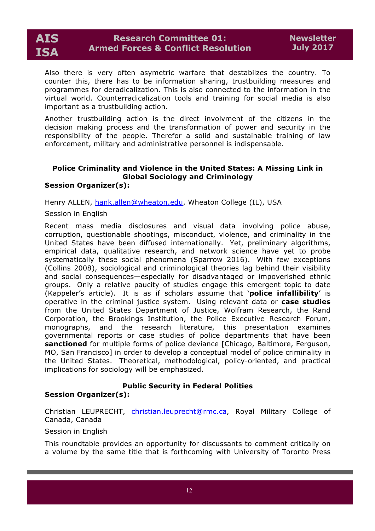Also there is very often asymetric warfare that destabilzes the country. To counter this, there has to be information sharing, trustbuilding measures and programmes for deradicalization. This is also connected to the information in the virtual world. Counterradicalization tools and training for social media is also important as a trustbuilding action.

Another trustbuilding action is the direct involvment of the citizens in the decision making process and the transformation of power and security in the responsibility of the people. Therefor a solid and sustainable training of law enforcement, military and administrative personnel is indispensable.

#### **Police Criminality and Violence in the United States: A Missing Link in Global Sociology and Criminology Session Organizer(s):**

Henry ALLEN, hank.allen@wheaton.edu, Wheaton College (IL), USA

Session in English

Recent mass media disclosures and visual data involving police abuse, corruption, questionable shootings, misconduct, violence, and criminality in the United States have been diffused internationally. Yet, preliminary algorithms, empirical data, qualitative research, and network science have yet to probe systematically these social phenomena (Sparrow 2016). With few exceptions (Collins 2008), sociological and criminological theories lag behind their visibility and social consequences—especially for disadvantaged or impoverished ethnic groups. Only a relative paucity of studies engage this emergent topic to date (Kappeler's article). It is as if scholars assume that '**police infallibility**' is operative in the criminal justice system. Using relevant data or **case studies** from the United States Department of Justice, Wolfram Research, the Rand Corporation, the Brookings Institution, the Police Executive Research Forum, monographs, and the research literature, this presentation examines governmental reports or case studies of police departments that have been **sanctioned** for multiple forms of police deviance [Chicago, Baltimore, Ferguson, MO, San Francisco] in order to develop a conceptual model of police criminality in the United States. Theoretical, methodological, policy-oriented, and practical implications for sociology will be emphasized.

## **Public Security in Federal Polities**

## **Session Organizer(s):**

Christian LEUPRECHT, christian.leuprecht@rmc.ca, Royal Military College of Canada, Canada

Session in English

This roundtable provides an opportunity for discussants to comment critically on a volume by the same title that is forthcoming with University of Toronto Press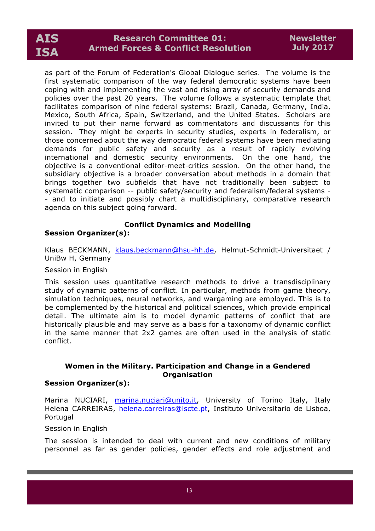## **Research Committee 01: Armed Forces & Conflict Resolution**

as part of the Forum of Federation's Global Dialogue series. The volume is the first systematic comparison of the way federal democratic systems have been coping with and implementing the vast and rising array of security demands and policies over the past 20 years. The volume follows a systematic template that facilitates comparison of nine federal systems: Brazil, Canada, Germany, India, Mexico, South Africa, Spain, Switzerland, and the United States. Scholars are invited to put their name forward as commentators and discussants for this session. They might be experts in security studies, experts in federalism, or those concerned about the way democratic federal systems have been mediating demands for public safety and security as a result of rapidly evolving international and domestic security environments. On the one hand, the objective is a conventional editor-meet-critics session. On the other hand, the subsidiary objective is a broader conversation about methods in a domain that brings together two subfields that have not traditionally been subject to systematic comparison -- public safety/security and federalism/federal systems - - and to initiate and possibly chart a multidisciplinary, comparative research agenda on this subject going forward.

## **Conflict Dynamics and Modelling**

## **Session Organizer(s):**

Klaus BECKMANN, klaus.beckmann@hsu-hh.de, Helmut-Schmidt-Universitaet / UniBw H, Germany

## Session in English

This session uses quantitative research methods to drive a transdisciplinary study of dynamic patterns of conflict. In particular, methods from game theory, simulation techniques, neural networks, and wargaming are employed. This is to be complemented by the historical and political sciences, which provide empirical detail. The ultimate aim is to model dynamic patterns of conflict that are historically plausible and may serve as a basis for a taxonomy of dynamic conflict in the same manner that 2x2 games are often used in the analysis of static conflict.

## **Women in the Military. Participation and Change in a Gendered Organisation**

## **Session Organizer(s):**

Marina NUCIARI, marina.nuciari@unito.it, University of Torino Italy, Italy Helena CARREIRAS, helena.carreiras@iscte.pt, Instituto Universitario de Lisboa, Portugal

## Session in English

The session is intended to deal with current and new conditions of military personnel as far as gender policies, gender effects and role adjustment and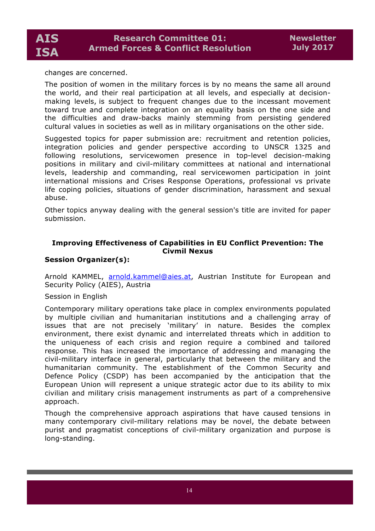changes are concerned.

The position of women in the military forces is by no means the same all around the world, and their real participation at all levels, and especially at decisionmaking levels, is subject to frequent changes due to the incessant movement toward true and complete integration on an equality basis on the one side and the difficulties and draw-backs mainly stemming from persisting gendered cultural values in societies as well as in military organisations on the other side.

Suggested topics for paper submission are: recruitment and retention policies, integration policies and gender perspective according to UNSCR 1325 and following resolutions, servicewomen presence in top-level decision-making positions in military and civil-military committees at national and international levels, leadership and commanding, real servicewomen participation in joint international missions and Crises Response Operations, professional vs private life coping policies, situations of gender discrimination, harassment and sexual abuse.

Other topics anyway dealing with the general session's title are invited for paper submission.

## **Improving Effectiveness of Capabilities in EU Conflict Prevention: The Civmil Nexus**

## **Session Organizer(s):**

Arnold KAMMEL, arnold.kammel@aies.at, Austrian Institute for European and Security Policy (AIES), Austria

## Session in English

Contemporary military operations take place in complex environments populated by multiple civilian and humanitarian institutions and a challenging array of issues that are not precisely 'military' in nature. Besides the complex environment, there exist dynamic and interrelated threats which in addition to the uniqueness of each crisis and region require a combined and tailored response. This has increased the importance of addressing and managing the civil-military interface in general, particularly that between the military and the humanitarian community. The establishment of the Common Security and Defence Policy (CSDP) has been accompanied by the anticipation that the European Union will represent a unique strategic actor due to its ability to mix civilian and military crisis management instruments as part of a comprehensive approach.

Though the comprehensive approach aspirations that have caused tensions in many contemporary civil-military relations may be novel, the debate between purist and pragmatist conceptions of civil-military organization and purpose is long-standing.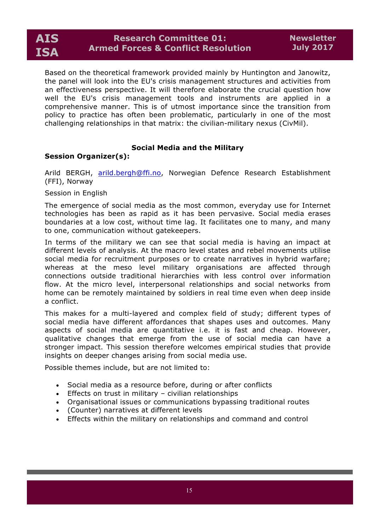Based on the theoretical framework provided mainly by Huntington and Janowitz, the panel will look into the EU's crisis management structures and activities from an effectiveness perspective. It will therefore elaborate the crucial question how well the EU's crisis management tools and instruments are applied in a comprehensive manner. This is of utmost importance since the transition from policy to practice has often been problematic, particularly in one of the most challenging relationships in that matrix: the civilian-military nexus (CivMil).

## **Social Media and the Military**

## **Session Organizer(s):**

Arild BERGH, arild.bergh@ffi.no, Norwegian Defence Research Establishment (FFI), Norway

#### Session in English

The emergence of social media as the most common, everyday use for Internet technologies has been as rapid as it has been pervasive. Social media erases boundaries at a low cost, without time lag. It facilitates one to many, and many to one, communication without gatekeepers.

In terms of the military we can see that social media is having an impact at different levels of analysis. At the macro level states and rebel movements utilise social media for recruitment purposes or to create narratives in hybrid warfare; whereas at the meso level military organisations are affected through connections outside traditional hierarchies with less control over information flow. At the micro level, interpersonal relationships and social networks from home can be remotely maintained by soldiers in real time even when deep inside a conflict.

This makes for a multi-layered and complex field of study; different types of social media have different affordances that shapes uses and outcomes. Many aspects of social media are quantitative i.e. it is fast and cheap. However, qualitative changes that emerge from the use of social media can have a stronger impact. This session therefore welcomes empirical studies that provide insights on deeper changes arising from social media use.

Possible themes include, but are not limited to:

- Social media as a resource before, during or after conflicts
- Effects on trust in military civilian relationships
- Organisational issues or communications bypassing traditional routes
- (Counter) narratives at different levels
- Effects within the military on relationships and command and control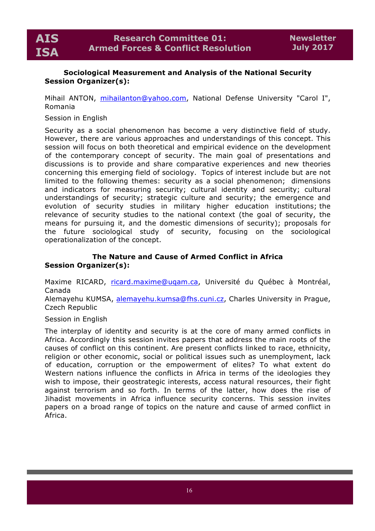

## **Sociological Measurement and Analysis of the National Security Session Organizer(s):**

Mihail ANTON, mihailanton@yahoo.com, National Defense University "Carol I", Romania

## Session in English

Security as a social phenomenon has become a very distinctive field of study. However, there are various approaches and understandings of this concept. This session will focus on both theoretical and empirical evidence on the development of the contemporary concept of security. The main goal of presentations and discussions is to provide and share comparative experiences and new theories concerning this emerging field of sociology. Topics of interest include but are not limited to the following themes: security as a social phenomenon; dimensions and indicators for measuring security; cultural identity and security; cultural understandings of security; strategic culture and security; the emergence and evolution of security studies in military higher education institutions; the relevance of security studies to the national context (the goal of security, the means for pursuing it, and the domestic dimensions of security); proposals for the future sociological study of security, focusing on the sociological operationalization of the concept.

## **The Nature and Cause of Armed Conflict in Africa Session Organizer(s):**

Maxime RICARD, ricard.maxime@uqam.ca, Université du Québec à Montréal, Canada

Alemayehu KUMSA, alemayehu.kumsa@fhs.cuni.cz, Charles University in Prague, Czech Republic

## Session in English

The interplay of identity and security is at the core of many armed conflicts in Africa. Accordingly this session invites papers that address the main roots of the causes of conflict on this continent. Are present conflicts linked to race, ethnicity, religion or other economic, social or political issues such as unemployment, lack of education, corruption or the empowerment of elites? To what extent do Western nations influence the conflicts in Africa in terms of the ideologies they wish to impose, their geostrategic interests, access natural resources, their fight against terrorism and so forth. In terms of the latter, how does the rise of Jihadist movements in Africa influence security concerns. This session invites papers on a broad range of topics on the nature and cause of armed conflict in Africa.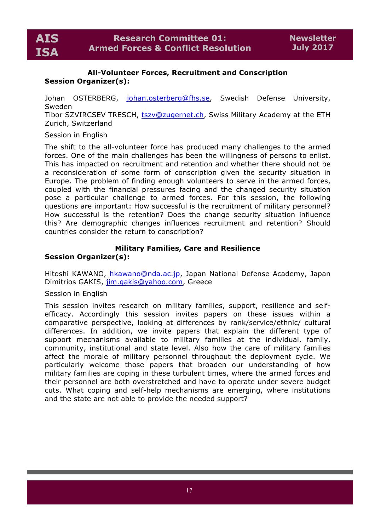## **All-Volunteer Forces, Recruitment and Conscription Session Organizer(s):**

Johan OSTERBERG, johan.osterberg@fhs.se, Swedish Defense University, Sweden

Tibor SZVIRCSEV TRESCH, tszv@zugernet.ch, Swiss Military Academy at the ETH Zurich, Switzerland

## Session in English

The shift to the all-volunteer force has produced many challenges to the armed forces. One of the main challenges has been the willingness of persons to enlist. This has impacted on recruitment and retention and whether there should not be a reconsideration of some form of conscription given the security situation in Europe. The problem of finding enough volunteers to serve in the armed forces, coupled with the financial pressures facing and the changed security situation pose a particular challenge to armed forces. For this session, the following questions are important: How successful is the recruitment of military personnel? How successful is the retention? Does the change security situation influence this? Are demographic changes influences recruitment and retention? Should countries consider the return to conscription?

## **Military Families, Care and Resilience Session Organizer(s):**

Hitoshi KAWANO, hkawano@nda.ac.jp, Japan National Defense Academy, Japan Dimitrios GAKIS, jim.gakis@yahoo.com, Greece

Session in English

This session invites research on military families, support, resilience and selfefficacy. Accordingly this session invites papers on these issues within a comparative perspective, looking at differences by rank/service/ethnic/ cultural differences. In addition, we invite papers that explain the different type of support mechanisms available to military families at the individual, family, community, institutional and state level. Also how the care of military families affect the morale of military personnel throughout the deployment cycle. We particularly welcome those papers that broaden our understanding of how military families are coping in these turbulent times, where the armed forces and their personnel are both overstretched and have to operate under severe budget cuts. What coping and self-help mechanisms are emerging, where institutions and the state are not able to provide the needed support?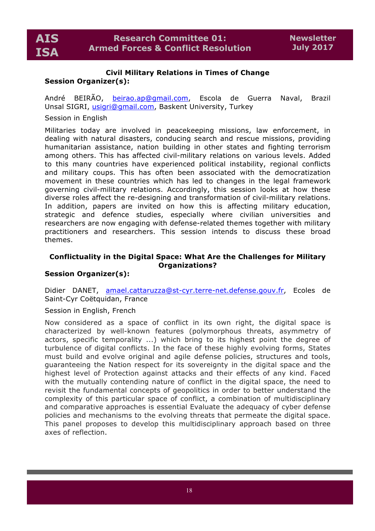## **Civil Military Relations in Times of Change Session Organizer(s):**

André BEIRÃO, beirao.ap@gmail.com, Escola de Guerra Naval, Brazil Unsal SIGRI, usigri@gmail.com, Baskent University, Turkey

## Session in English

Militaries today are involved in peacekeeping missions, law enforcement, in dealing with natural disasters, conducing search and rescue missions, providing humanitarian assistance, nation building in other states and fighting terrorism among others. This has affected civil-military relations on various levels. Added to this many countries have experienced political instability, regional conflicts and military coups. This has often been associated with the democratization movement in these countries which has led to changes in the legal framework governing civil-military relations. Accordingly, this session looks at how these diverse roles affect the re-designing and transformation of civil-military relations. In addition, papers are invited on how this is affecting military education, strategic and defence studies, especially where civilian universities and researchers are now engaging with defense-related themes together with military practitioners and researchers. This session intends to discuss these broad themes.

## **Conflictuality in the Digital Space: What Are the Challenges for Military Organizations?**

## **Session Organizer(s):**

Didier DANET, amael.cattaruzza@st-cyr.terre-net.defense.gouv.fr, Ecoles de Saint-Cyr Coëtquidan, France

## Session in English, French

Now considered as a space of conflict in its own right, the digital space is characterized by well-known features (polymorphous threats, asymmetry of actors, specific temporality ...) which bring to its highest point the degree of turbulence of digital conflicts. In the face of these highly evolving forms, States must build and evolve original and agile defense policies, structures and tools, guaranteeing the Nation respect for its sovereignty in the digital space and the highest level of Protection against attacks and their effects of any kind. Faced with the mutually contending nature of conflict in the digital space, the need to revisit the fundamental concepts of geopolitics in order to better understand the complexity of this particular space of conflict, a combination of multidisciplinary and comparative approaches is essential Evaluate the adequacy of cyber defense policies and mechanisms to the evolving threats that permeate the digital space. This panel proposes to develop this multidisciplinary approach based on three axes of reflection.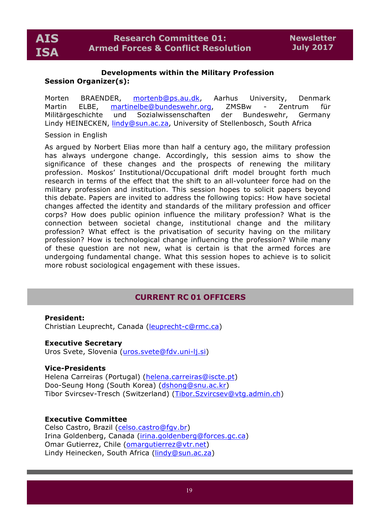#### **Developments within the Military Profession Session Organizer(s):**

Morten BRAENDER, mortenb@ps.au.dk, Aarhus University, Denmark Martin ELBE, martinelbe@bundeswehr.org, ZMSBw - Zentrum für Militärgeschichte und Sozialwissenschaften der Bundeswehr, Germany Lindy HEINECKEN, lindy@sun.ac.za, University of Stellenbosch, South Africa

#### Session in English

As argued by Norbert Elias more than half a century ago, the military profession has always undergone change. Accordingly, this session aims to show the significance of these changes and the prospects of renewing the military profession. Moskos' Institutional/Occupational drift model brought forth much research in terms of the effect that the shift to an all-volunteer force had on the military profession and institution. This session hopes to solicit papers beyond this debate. Papers are invited to address the following topics: How have societal changes affected the identity and standards of the military profession and officer corps? How does public opinion influence the military profession? What is the connection between societal change, institutional change and the military profession? What effect is the privatisation of security having on the military profession? How is technological change influencing the profession? While many of these question are not new, what is certain is that the armed forces are undergoing fundamental change. What this session hopes to achieve is to solicit more robust sociological engagement with these issues.

## **CURRENT RC 01 OFFICERS**

#### **President:**

Christian Leuprecht, Canada (leuprecht-c@rmc.ca)

#### **Executive Secretary**

Uros Svete, Slovenia (uros.svete@fdv.uni-lj.si)

#### **Vice-Presidents**

Helena Carreiras (Portugal) (helena.carreiras@iscte.pt) Doo-Seung Hong (South Korea) (dshong@snu.ac.kr) Tibor Svircsev-Tresch (Switzerland) (Tibor.Szvircsev@vtg.admin.ch)

#### **Executive Committee**

Celso Castro, Brazil (celso.castro@fgv.br) Irina Goldenberg, Canada (irina.goldenberg@forces.gc.ca) Omar Gutierrez, Chile (omarqutierrez@vtr.net) Lindy Heinecken, South Africa (lindy@sun.ac.za)